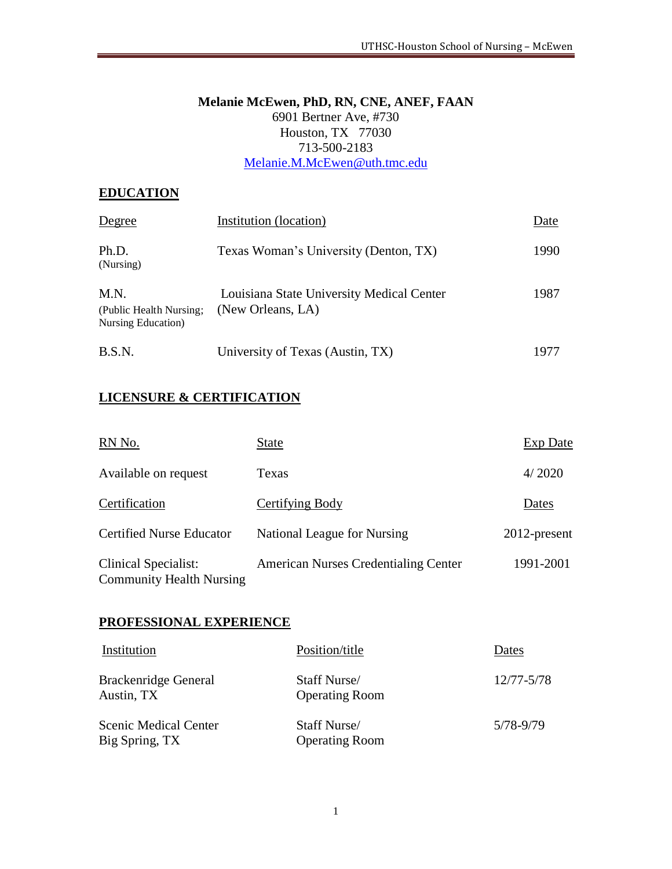### **Melanie McEwen, PhD, RN, CNE, ANEF, FAAN** 6901 Bertner Ave, #730 Houston, TX 77030 713-500-2183 [Melanie.M.McEwen@uth.tmc.edu](mailto:Melanie.M.McEwen@uth.tmc.edu)

# **EDUCATION**

| Degree                                                | Institution (location)                                         | Date |
|-------------------------------------------------------|----------------------------------------------------------------|------|
| Ph.D.<br>(Nursing)                                    | Texas Woman's University (Denton, TX)                          | 1990 |
| M.N.<br>(Public Health Nursing;<br>Nursing Education) | Louisiana State University Medical Center<br>(New Orleans, LA) | 1987 |
| B.S.N.                                                | University of Texas (Austin, TX)                               | 1977 |

# **LICENSURE & CERTIFICATION**

| RN No.                                                         | State                                       | Exp Date     |
|----------------------------------------------------------------|---------------------------------------------|--------------|
| Available on request                                           | Texas                                       | 4/2020       |
| Certification                                                  | Certifying Body                             | Dates        |
| <b>Certified Nurse Educator</b>                                | National League for Nursing                 | 2012-present |
| <b>Clinical Specialist:</b><br><b>Community Health Nursing</b> | <b>American Nurses Credentialing Center</b> | 1991-2001    |

### **PROFESSIONAL EXPERIENCE**

| Institution                                    | Position/title                        | Dates      |
|------------------------------------------------|---------------------------------------|------------|
| Brackenridge General<br>Austin, TX             | Staff Nurse/<br><b>Operating Room</b> | 12/77-5/78 |
| <b>Scenic Medical Center</b><br>Big Spring, TX | Staff Nurse/<br><b>Operating Room</b> | 5/78-9/79  |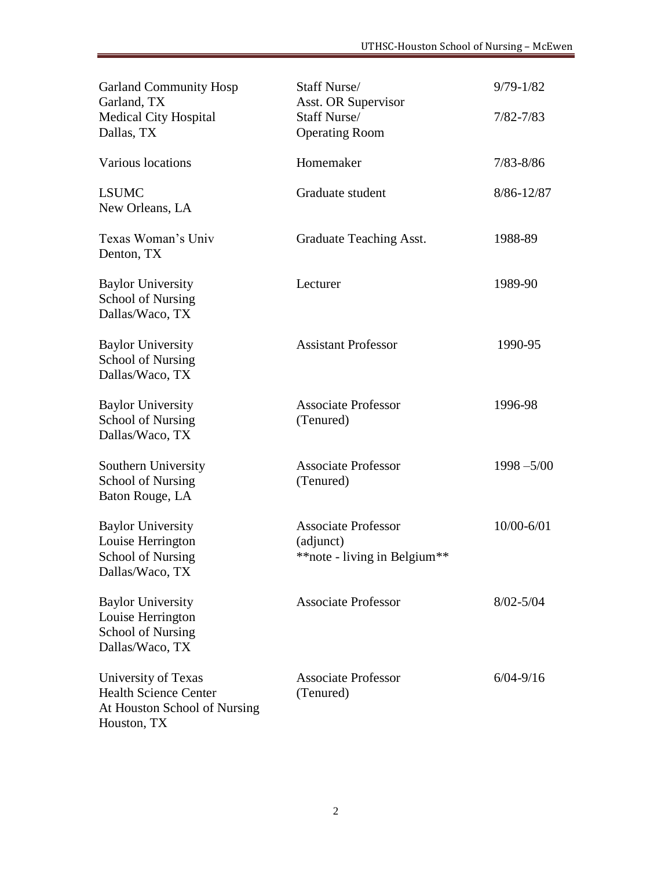| <b>Garland Community Hosp</b><br>Garland, TX<br><b>Medical City Hospital</b><br>Dallas, TX         | Staff Nurse/<br><b>Asst. OR Supervisor</b><br>Staff Nurse/<br><b>Operating Room</b> | $9/79 - 1/82$<br>$7/82 - 7/83$ |
|----------------------------------------------------------------------------------------------------|-------------------------------------------------------------------------------------|--------------------------------|
| Various locations                                                                                  | Homemaker                                                                           | $7/83 - 8/86$                  |
| <b>LSUMC</b><br>New Orleans, LA                                                                    | Graduate student                                                                    | 8/86-12/87                     |
| Texas Woman's Univ<br>Denton, TX                                                                   | Graduate Teaching Asst.                                                             | 1988-89                        |
| <b>Baylor University</b><br>School of Nursing<br>Dallas/Waco, TX                                   | Lecturer                                                                            | 1989-90                        |
| <b>Baylor University</b><br><b>School of Nursing</b><br>Dallas/Waco, TX                            | <b>Assistant Professor</b>                                                          | 1990-95                        |
| <b>Baylor University</b><br>School of Nursing<br>Dallas/Waco, TX                                   | <b>Associate Professor</b><br>(Tenured)                                             | 1996-98                        |
| Southern University<br>School of Nursing<br>Baton Rouge, LA                                        | <b>Associate Professor</b><br>(Tenured)                                             | $1998 - 5/00$                  |
| <b>Baylor University</b><br>Louise Herrington<br><b>School of Nursing</b><br>Dallas/Waco, TX       | <b>Associate Professor</b><br>(adjunct)<br>** note - living in Belgium**            | 10/00-6/01                     |
| <b>Baylor University</b><br>Louise Herrington<br>School of Nursing<br>Dallas/Waco, TX              | <b>Associate Professor</b>                                                          | $8/02 - 5/04$                  |
| University of Texas<br><b>Health Science Center</b><br>At Houston School of Nursing<br>Houston, TX | <b>Associate Professor</b><br>(Tenured)                                             | $6/04 - 9/16$                  |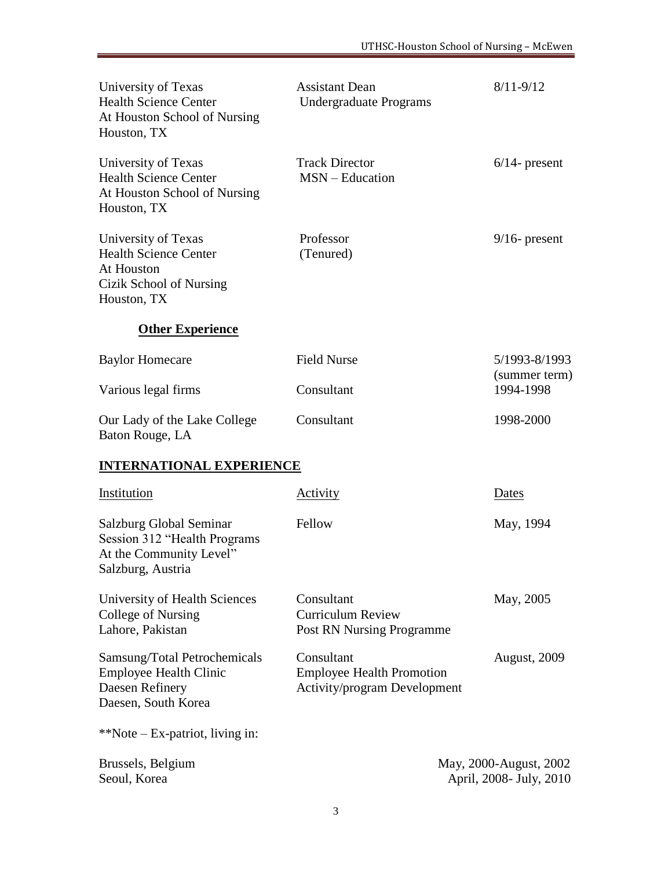| University of Texas<br><b>Health Science Center</b><br>At Houston School of Nursing<br>Houston, TX          | <b>Assistant Dean</b><br><b>Undergraduate Programs</b>                         | $8/11 - 9/12$                                     |
|-------------------------------------------------------------------------------------------------------------|--------------------------------------------------------------------------------|---------------------------------------------------|
| University of Texas<br><b>Health Science Center</b><br>At Houston School of Nursing<br>Houston, TX          | <b>Track Director</b><br>$MSN - Education$                                     | $6/14$ - present                                  |
| University of Texas<br><b>Health Science Center</b><br>At Houston<br>Cizik School of Nursing<br>Houston, TX | Professor<br>(Tenured)                                                         | $9/16$ - present                                  |
| <b>Other Experience</b>                                                                                     |                                                                                |                                                   |
| <b>Baylor Homecare</b>                                                                                      | <b>Field Nurse</b>                                                             | 5/1993-8/1993                                     |
| Various legal firms                                                                                         | Consultant                                                                     | (summer term)<br>1994-1998                        |
| Our Lady of the Lake College<br>Baton Rouge, LA                                                             | Consultant                                                                     | 1998-2000                                         |
| <b>INTERNATIONAL EXPERIENCE</b>                                                                             |                                                                                |                                                   |
| Institution                                                                                                 | <b>Activity</b>                                                                | Dates                                             |
| Salzburg Global Seminar<br>Session 312 "Health Programs<br>At the Community Level"<br>Salzburg, Austria     | Fellow                                                                         | May, 1994                                         |
| University of Health Sciences<br>College of Nursing<br>Lahore, Pakistan                                     | Consultant<br><b>Curriculum Review</b><br><b>Post RN Nursing Programme</b>     | May, 2005                                         |
| Samsung/Total Petrochemicals<br><b>Employee Health Clinic</b><br>Daesen Refinery<br>Daesen, South Korea     | Consultant<br><b>Employee Health Promotion</b><br>Activity/program Development | <b>August, 2009</b>                               |
| **Note – Ex-patriot, living in:                                                                             |                                                                                |                                                   |
| Brussels, Belgium<br>Seoul, Korea                                                                           |                                                                                | May, 2000-August, 2002<br>April, 2008- July, 2010 |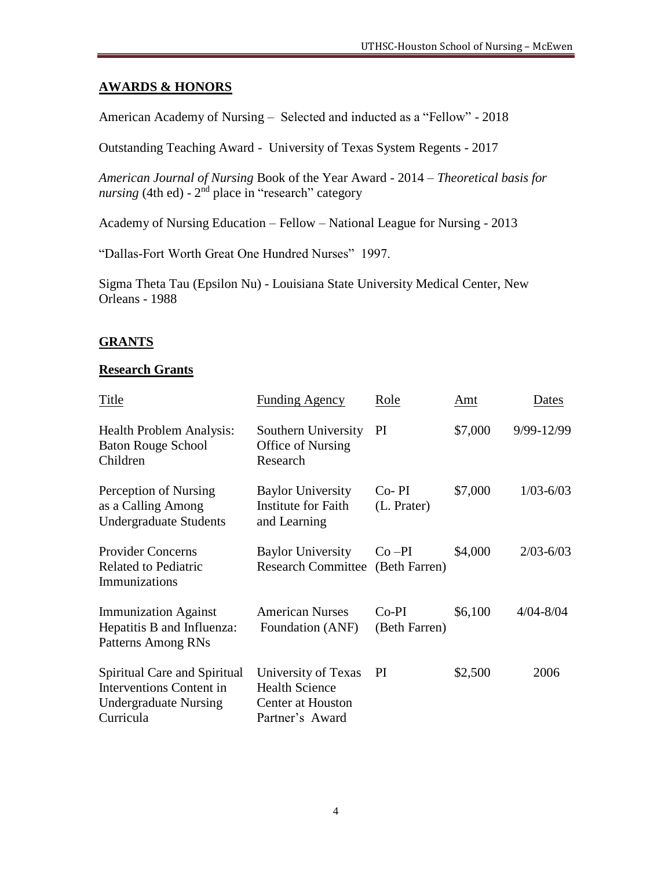# **AWARDS & HONORS**

American Academy of Nursing – Selected and inducted as a "Fellow" - 2018

Outstanding Teaching Award - University of Texas System Regents - 2017

*American Journal of Nursing* Book of the Year Award - 2014 – *Theoretical basis for*  nursing (4th ed) - 2<sup>nd</sup> place in "research" category

Academy of Nursing Education – Fellow – National League for Nursing - 2013

"Dallas-Fort Worth Great One Hundred Nurses" 1997.

Sigma Theta Tau (Epsilon Nu) - Louisiana State University Medical Center, New Orleans - 1988

# **GRANTS**

### **Research Grants**

| Title                                                                                                 | <b>Funding Agency</b>                                                                       | Role                        | Amt     | Dates         |
|-------------------------------------------------------------------------------------------------------|---------------------------------------------------------------------------------------------|-----------------------------|---------|---------------|
| <b>Health Problem Analysis:</b><br><b>Baton Rouge School</b><br>Children                              | Southern University<br>Office of Nursing<br>Research                                        | PI                          | \$7,000 | 9/99-12/99    |
| Perception of Nursing<br>as a Calling Among<br><b>Undergraduate Students</b>                          | <b>Baylor University</b><br><b>Institute for Faith</b><br>and Learning                      | $Co-PI$<br>(L. Prater)      | \$7,000 | $1/03 - 6/03$ |
| <b>Provider Concerns</b><br><b>Related to Pediatric</b><br>Immunizations                              | <b>Baylor University</b><br><b>Research Committee</b>                                       | $Co$ $-PI$<br>(Beth Farren) | \$4,000 | $2/03 - 6/03$ |
| <b>Immunization Against</b><br>Hepatitis B and Influenza:<br>Patterns Among RNs                       | <b>American Nurses</b><br>Foundation (ANF)                                                  | $Co-PI$<br>(Beth Farren)    | \$6,100 | $4/04 - 8/04$ |
| Spiritual Care and Spiritual<br>Interventions Content in<br><b>Undergraduate Nursing</b><br>Curricula | University of Texas<br><b>Health Science</b><br><b>Center at Houston</b><br>Partner's Award | PI                          | \$2,500 | 2006          |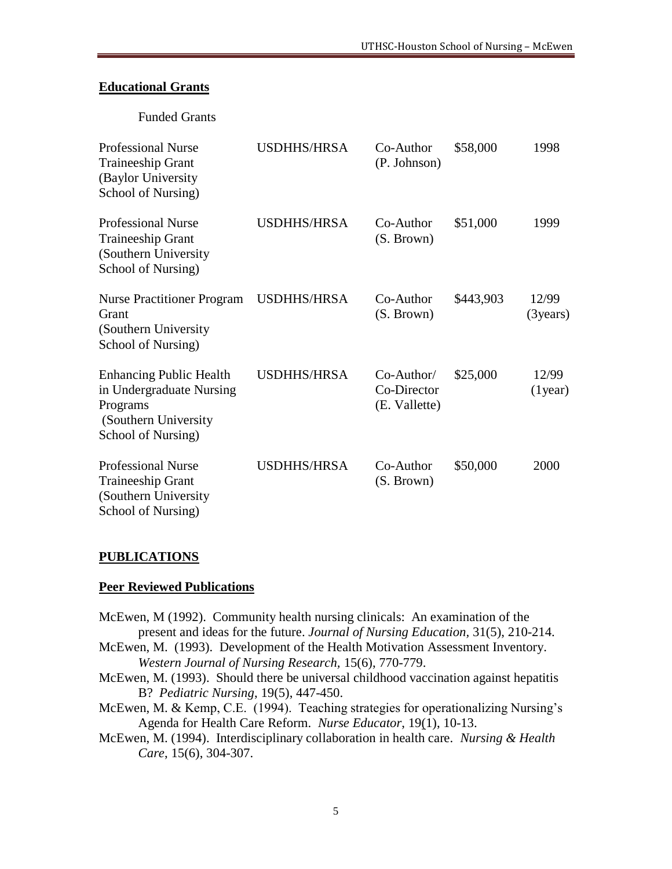#### **Educational Grants**

Funded Grants

| <b>Professional Nurse</b><br><b>Traineeship Grant</b><br>(Baylor University<br>School of Nursing)                     | <b>USDHHS/HRSA</b> | Co-Author<br>(P. Johnson)                    | \$58,000  | 1998                  |
|-----------------------------------------------------------------------------------------------------------------------|--------------------|----------------------------------------------|-----------|-----------------------|
| <b>Professional Nurse</b><br><b>Traineeship Grant</b><br>(Southern University)<br>School of Nursing)                  | <b>USDHHS/HRSA</b> | Co-Author<br>(S. Brown)                      | \$51,000  | 1999                  |
| <b>Nurse Practitioner Program</b><br>Grant<br>(Southern University)<br>School of Nursing)                             | <b>USDHHS/HRSA</b> | Co-Author<br>(S. Brown)                      | \$443,903 | 12/99<br>$(3)$ years) |
| <b>Enhancing Public Health</b><br>in Undergraduate Nursing<br>Programs<br>(Southern University)<br>School of Nursing) | <b>USDHHS/HRSA</b> | $Co-Author/$<br>Co-Director<br>(E. Vallette) | \$25,000  | 12/99<br>$(1)$ year)  |
| <b>Professional Nurse</b><br><b>Traineeship Grant</b><br>(Southern University)<br>School of Nursing)                  | <b>USDHHS/HRSA</b> | Co-Author<br>(S. Brown)                      | \$50,000  | 2000                  |

#### **PUBLICATIONS**

#### **Peer Reviewed Publications**

- McEwen, M (1992). Community health nursing clinicals: An examination of the present and ideas for the future. *Journal of Nursing Education,* 31(5), 210-214. McEwen, M. (1993). Development of the Health Motivation Assessment Inventory. *Western Journal of Nursing Research,* 15(6), 770-779. McEwen, M. (1993). Should there be universal childhood vaccination against hepatitis
- B? *Pediatric Nursing*, 19(5), 447-450.
- McEwen, M. & Kemp, C.E. (1994). Teaching strategies for operationalizing Nursing's Agenda for Health Care Reform. *Nurse Educator*, 19(1), 10-13.
- McEwen, M. (1994). Interdisciplinary collaboration in health care. *Nursing & Health Care*, 15(6), 304-307.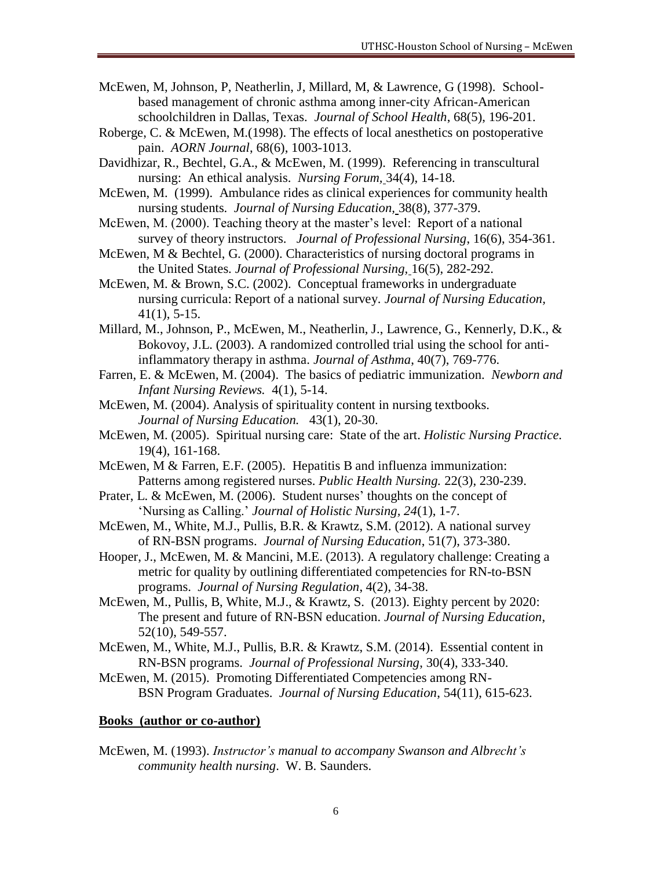- McEwen, M, Johnson, P, Neatherlin, J, Millard, M, & Lawrence, G (1998). Schoolbased management of chronic asthma among inner-city African-American schoolchildren in Dallas, Texas. *Journal of School Health*, 68(5), 196-201.
- Roberge, C. & McEwen, M.(1998). The effects of local anesthetics on postoperative pain. *AORN Journal*, 68(6), 1003-1013.
- Davidhizar, R., Bechtel, G.A., & McEwen, M. (1999). Referencing in transcultural nursing: An ethical analysis. *Nursing Forum,* 34(4), 14-18.
- McEwen, M. (1999). Ambulance rides as clinical experiences for community health nursing students. *Journal of Nursing Education,* 38(8), 377-379.
- McEwen, M. (2000). Teaching theory at the master's level: Report of a national survey of theory instructors. *Journal of Professional Nursing*, 16(6), 354-361.
- McEwen, M & Bechtel, G. (2000). Characteristics of nursing doctoral programs in the United States. *Journal of Professional Nursing,* 16(5), 282-292.
- McEwen, M. & Brown, S.C. (2002). Conceptual frameworks in undergraduate nursing curricula: Report of a national survey. *Journal of Nursing Education,*  41(1), 5-15.
- Millard, M., Johnson, P., McEwen, M., Neatherlin, J., Lawrence, G., Kennerly, D.K., & Bokovoy, J.L. (2003). A randomized controlled trial using the school for antiinflammatory therapy in asthma. *Journal of Asthma*, 40(7), 769-776.
- Farren, E. & McEwen, M. (2004). The basics of pediatric immunization. *Newborn and Infant Nursing Reviews.* 4(1), 5-14.
- McEwen, M. (2004). Analysis of spirituality content in nursing textbooks. *Journal of Nursing Education.* 43(1), 20-30.
- McEwen, M. (2005). Spiritual nursing care: State of the art. *Holistic Nursing Practice.* 19(4), 161-168.
- McEwen, M & Farren, E.F. (2005). Hepatitis B and influenza immunization: Patterns among registered nurses. *Public Health Nursing.* 22(3), 230-239.
- Prater, L. & McEwen, M. (2006). Student nurses' thoughts on the concept of 'Nursing as Calling.' *Journal of Holistic Nursing, 24*(1), 1-7.
- McEwen, M., White, M.J., Pullis, B.R. & Krawtz, S.M. (2012). A national survey of RN-BSN programs. *Journal of Nursing Education*, 51(7), 373-380.
- Hooper, J., McEwen, M. & Mancini, M.E. (2013). A regulatory challenge: Creating a metric for quality by outlining differentiated competencies for RN-to-BSN programs. *Journal of Nursing Regulation*, 4(2), 34-38.
- McEwen, M., Pullis, B, White, M.J., & Krawtz, S. (2013). Eighty percent by 2020: The present and future of RN-BSN education. *Journal of Nursing Education*, 52(10), 549-557.
- McEwen, M., White, M.J., Pullis, B.R. & Krawtz, S.M. (2014). Essential content in RN-BSN programs. *Journal of Professional Nursing*, 30(4), 333-340.
- McEwen, M. (2015). Promoting Differentiated Competencies among RN-BSN Program Graduates. *Journal of Nursing Education*, 54(11), 615-623.

#### **Books (author or co-author)**

McEwen, M. (1993). *Instructor's manual to accompany Swanson and Albrecht's community health nursing*. W. B. Saunders.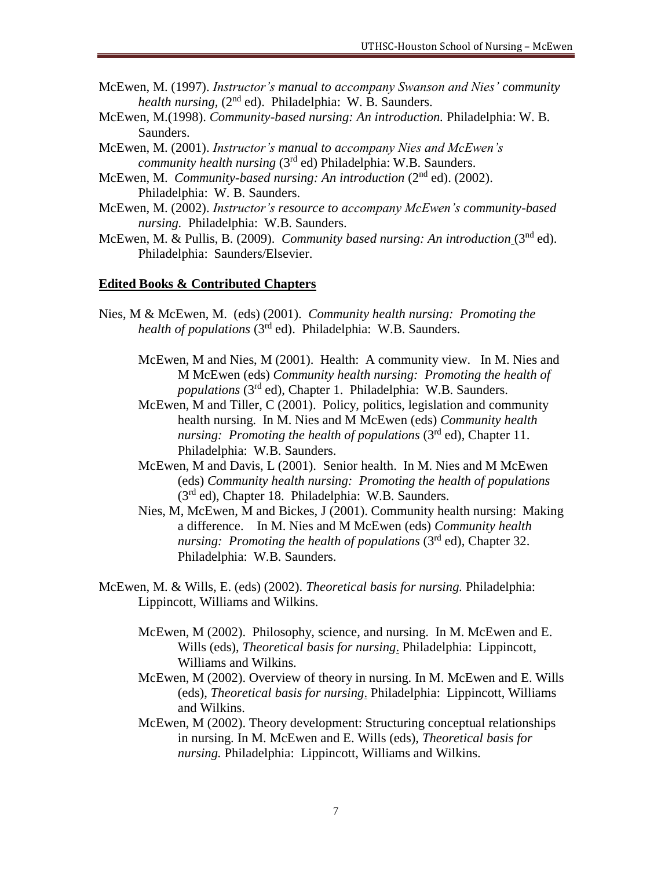- McEwen, M. (1997). *Instructor's manual to accompany Swanson and Nies' community health nursing,* (2<sup>nd</sup> ed). Philadelphia: W. B. Saunders.
- McEwen, M.(1998). *Community-based nursing: An introduction.* Philadelphia: W. B. Saunders.
- McEwen, M. (2001). *Instructor's manual to accompany Nies and McEwen's community health nursing* (3<sup>rd</sup> ed) Philadelphia: W.B. Saunders.
- McEwen, M. *Community-based nursing: An introduction* (2<sup>nd</sup> ed). (2002). Philadelphia: W. B. Saunders.
- McEwen, M. (2002). *Instructor's resource to accompany McEwen's community-based nursing.* Philadelphia: W.B. Saunders.
- McEwen, M. & Pullis, B. (2009). *Community based nursing: An introduction* (3nd ed). Philadelphia: Saunders/Elsevier.

#### **Edited Books & Contributed Chapters**

- Nies, M & McEwen, M. (eds) (2001). *Community health nursing: Promoting the health of populations* (3rd ed). Philadelphia: W.B. Saunders.
	- McEwen, M and Nies, M (2001). Health: A community view. In M. Nies and M McEwen (eds) *Community health nursing: Promoting the health of populations* (3rd ed), Chapter 1. Philadelphia: W.B. Saunders.
	- McEwen, M and Tiller, C (2001). Policy, politics, legislation and community health nursing. In M. Nies and M McEwen (eds) *Community health nursing: Promoting the health of populations* (3<sup>rd</sup> ed), Chapter 11. Philadelphia: W.B. Saunders.
	- McEwen, M and Davis, L (2001). Senior health. In M. Nies and M McEwen (eds) *Community health nursing: Promoting the health of populations* (3<sup>rd</sup> ed), Chapter 18. Philadelphia: W.B. Saunders.
	- Nies, M, McEwen, M and Bickes, J (2001). Community health nursing: Making a difference. In M. Nies and M McEwen (eds) *Community health nursing: Promoting the health of populations (3<sup>rd</sup> ed), Chapter 32.* Philadelphia: W.B. Saunders.
- McEwen, M. & Wills, E. (eds) (2002). *Theoretical basis for nursing.* Philadelphia: Lippincott, Williams and Wilkins.
	- McEwen, M (2002). Philosophy, science, and nursing. In M. McEwen and E. Wills (eds), *Theoretical basis for nursing*. Philadelphia: Lippincott, Williams and Wilkins.
	- McEwen, M (2002). Overview of theory in nursing. In M. McEwen and E. Wills (eds), *Theoretical basis for nursing*. Philadelphia: Lippincott, Williams and Wilkins.
	- McEwen, M (2002). Theory development: Structuring conceptual relationships in nursing. In M. McEwen and E. Wills (eds), *Theoretical basis for nursing.* Philadelphia: Lippincott, Williams and Wilkins.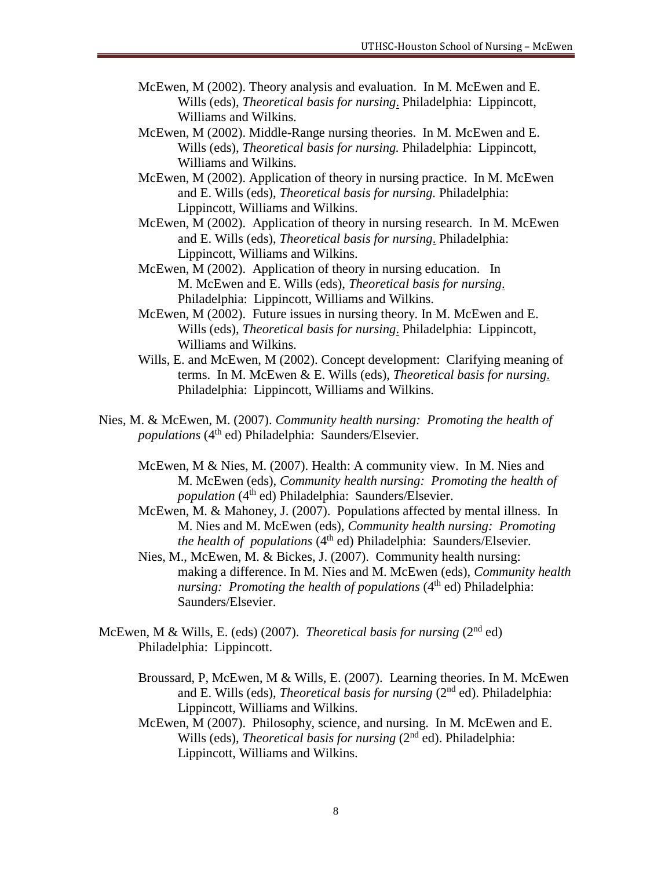- McEwen, M (2002). Theory analysis and evaluation. In M. McEwen and E. Wills (eds), *Theoretical basis for nursing*. Philadelphia: Lippincott, Williams and Wilkins.
- McEwen, M (2002). Middle-Range nursing theories. In M. McEwen and E. Wills (eds), *Theoretical basis for nursing.* Philadelphia: Lippincott, Williams and Wilkins.
- McEwen, M (2002). Application of theory in nursing practice. In M. McEwen and E. Wills (eds), *Theoretical basis for nursing.* Philadelphia: Lippincott, Williams and Wilkins.
- McEwen, M (2002). Application of theory in nursing research. In M. McEwen and E. Wills (eds), *Theoretical basis for nursing*. Philadelphia: Lippincott, Williams and Wilkins.
- McEwen, M (2002). Application of theory in nursing education. In M. McEwen and E. Wills (eds), *Theoretical basis for nursing*. Philadelphia: Lippincott, Williams and Wilkins.
- McEwen, M (2002). Future issues in nursing theory. In M. McEwen and E. Wills (eds), *Theoretical basis for nursing*. Philadelphia: Lippincott, Williams and Wilkins.
- Wills, E. and McEwen, M (2002). Concept development: Clarifying meaning of terms. In M. McEwen & E. Wills (eds), *Theoretical basis for nursing*. Philadelphia: Lippincott, Williams and Wilkins.
- Nies, M. & McEwen, M. (2007). *Community health nursing: Promoting the health of populations* (4<sup>th</sup> ed) Philadelphia: Saunders/Elsevier.
	- McEwen, M & Nies, M. (2007). Health: A community view. In M. Nies and M. McEwen (eds), *Community health nursing: Promoting the health of population* (4<sup>th</sup> ed) Philadelphia: Saunders/Elsevier.
	- McEwen, M. & Mahoney, J. (2007). Populations affected by mental illness. In M. Nies and M. McEwen (eds), *Community health nursing: Promoting the health of populations* (4<sup>th</sup> ed) Philadelphia: Saunders/Elsevier.
	- Nies, M., McEwen, M. & Bickes, J. (2007). Community health nursing: making a difference. In M. Nies and M. McEwen (eds), *Community health nursing: Promoting the health of populations* (4<sup>th</sup> ed) Philadelphia: Saunders/Elsevier.
- McEwen, M & Wills, E. (eds) (2007). *Theoretical basis for nursing* (2nd ed) Philadelphia: Lippincott.
	- Broussard, P, McEwen, M & Wills, E. (2007). Learning theories. In M. McEwen and E. Wills (eds), *Theoretical basis for nursing* (2nd ed). Philadelphia: Lippincott, Williams and Wilkins.
	- McEwen, M (2007). Philosophy, science, and nursing. In M. McEwen and E. Wills (eds), *Theoretical basis for nursing* (2<sup>nd</sup> ed). Philadelphia: Lippincott, Williams and Wilkins.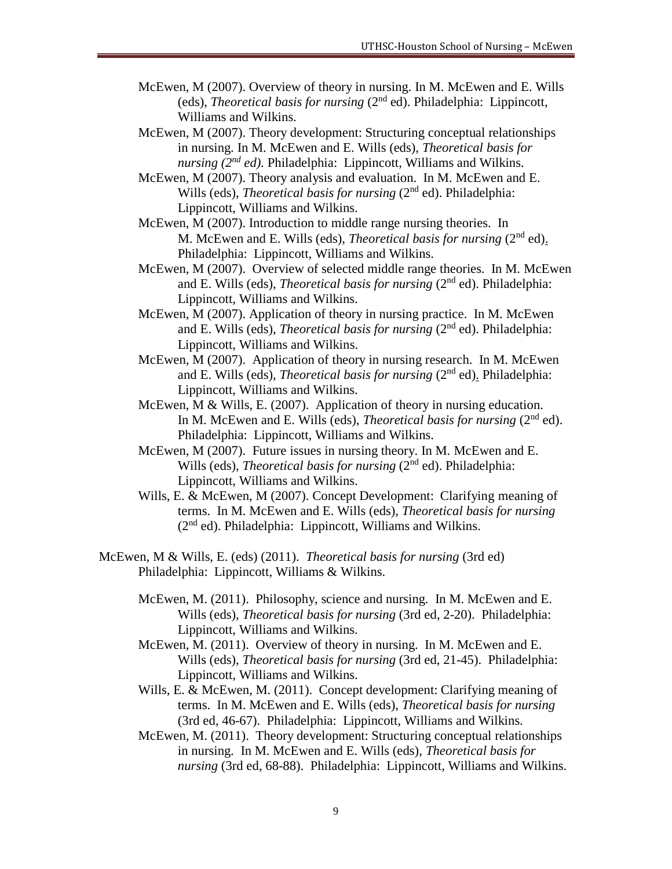- McEwen, M (2007). Overview of theory in nursing. In M. McEwen and E. Wills (eds), *Theoretical basis for nursing* (2nd ed). Philadelphia: Lippincott, Williams and Wilkins.
- McEwen, M (2007). Theory development: Structuring conceptual relationships in nursing. In M. McEwen and E. Wills (eds), *Theoretical basis for nursing (2nd ed).* Philadelphia: Lippincott, Williams and Wilkins.
- McEwen, M (2007). Theory analysis and evaluation. In M. McEwen and E. Wills (eds), *Theoretical basis for nursing* (2<sup>nd</sup> ed). Philadelphia: Lippincott, Williams and Wilkins.
- McEwen, M (2007). Introduction to middle range nursing theories. In M. McEwen and E. Wills (eds), *Theoretical basis for nursing* (2nd ed). Philadelphia: Lippincott, Williams and Wilkins.
- McEwen, M (2007). Overview of selected middle range theories. In M. McEwen and E. Wills (eds), *Theoretical basis for nursing* (2nd ed). Philadelphia: Lippincott, Williams and Wilkins.
- McEwen, M (2007). Application of theory in nursing practice. In M. McEwen and E. Wills (eds), *Theoretical basis for nursing* (2nd ed). Philadelphia: Lippincott, Williams and Wilkins.
- McEwen, M (2007). Application of theory in nursing research. In M. McEwen and E. Wills (eds), *Theoretical basis for nursing* (2nd ed). Philadelphia: Lippincott, Williams and Wilkins.
- McEwen, M & Wills, E. (2007). Application of theory in nursing education. In M. McEwen and E. Wills (eds), *Theoretical basis for nursing* (2<sup>nd</sup> ed). Philadelphia: Lippincott, Williams and Wilkins.
- McEwen, M (2007). Future issues in nursing theory. In M. McEwen and E. Wills (eds), *Theoretical basis for nursing* (2<sup>nd</sup> ed). Philadelphia: Lippincott, Williams and Wilkins.
- Wills, E. & McEwen, M (2007). Concept Development: Clarifying meaning of terms. In M. McEwen and E. Wills (eds), *Theoretical basis for nursing*  $(2<sup>nd</sup> ed)$ . Philadelphia: Lippincott, Williams and Wilkins.
- McEwen, M & Wills, E. (eds) (2011). *Theoretical basis for nursing* (3rd ed) Philadelphia: Lippincott, Williams & Wilkins.
	- McEwen, M. (2011). Philosophy, science and nursing. In M. McEwen and E. Wills (eds), *Theoretical basis for nursing* (3rd ed, 2-20). Philadelphia: Lippincott, Williams and Wilkins.
	- McEwen, M. (2011). Overview of theory in nursing. In M. McEwen and E. Wills (eds), *Theoretical basis for nursing* (3rd ed, 21-45). Philadelphia: Lippincott, Williams and Wilkins.
	- Wills, E. & McEwen, M. (2011). Concept development: Clarifying meaning of terms. In M. McEwen and E. Wills (eds), *Theoretical basis for nursing* (3rd ed, 46-67). Philadelphia: Lippincott, Williams and Wilkins.
	- McEwen, M. (2011). Theory development: Structuring conceptual relationships in nursing. In M. McEwen and E. Wills (eds), *Theoretical basis for nursing* (3rd ed, 68-88). Philadelphia: Lippincott, Williams and Wilkins.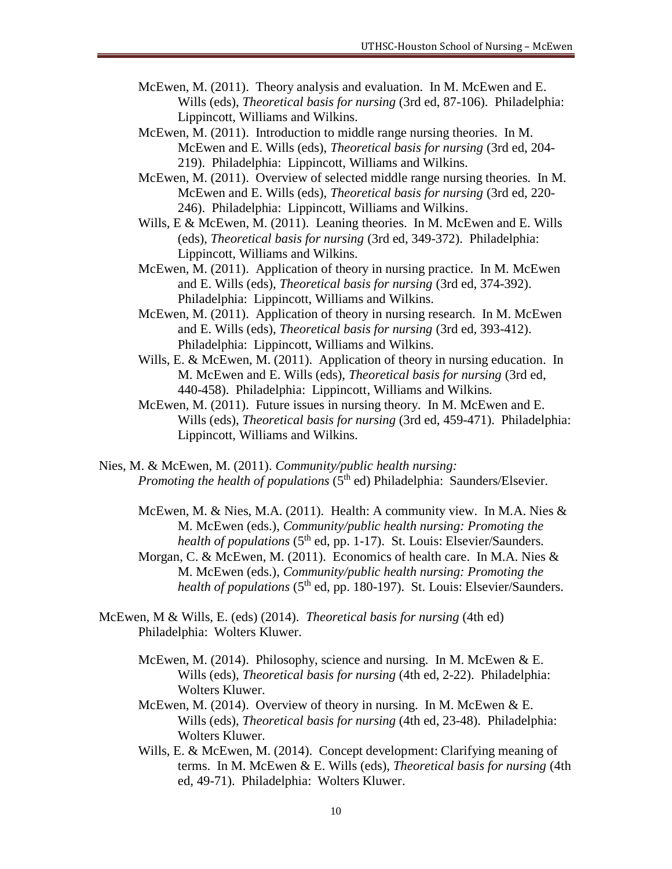- McEwen, M. (2011). Theory analysis and evaluation. In M. McEwen and E. Wills (eds), *Theoretical basis for nursing* (3rd ed, 87-106). Philadelphia: Lippincott, Williams and Wilkins.
- McEwen, M. (2011). Introduction to middle range nursing theories. In M. McEwen and E. Wills (eds), *Theoretical basis for nursing* (3rd ed, 204- 219). Philadelphia: Lippincott, Williams and Wilkins.
- McEwen, M. (2011). Overview of selected middle range nursing theories. In M. McEwen and E. Wills (eds), *Theoretical basis for nursing* (3rd ed, 220- 246). Philadelphia: Lippincott, Williams and Wilkins.
- Wills, E & McEwen, M. (2011). Leaning theories. In M. McEwen and E. Wills (eds), *Theoretical basis for nursing* (3rd ed, 349-372). Philadelphia: Lippincott, Williams and Wilkins.
- McEwen, M. (2011). Application of theory in nursing practice. In M. McEwen and E. Wills (eds), *Theoretical basis for nursing* (3rd ed, 374-392). Philadelphia: Lippincott, Williams and Wilkins.
- McEwen, M. (2011). Application of theory in nursing research. In M. McEwen and E. Wills (eds), *Theoretical basis for nursing* (3rd ed, 393-412). Philadelphia: Lippincott, Williams and Wilkins.
- Wills, E. & McEwen, M. (2011). Application of theory in nursing education. In M. McEwen and E. Wills (eds), *Theoretical basis for nursing* (3rd ed, 440-458). Philadelphia: Lippincott, Williams and Wilkins.
- McEwen, M. (2011). Future issues in nursing theory. In M. McEwen and E. Wills (eds), *Theoretical basis for nursing* (3rd ed, 459-471). Philadelphia: Lippincott, Williams and Wilkins.
- Nies, M. & McEwen, M. (2011). *Community/public health nursing: Promoting the health of populations* (5<sup>th</sup> ed) Philadelphia: Saunders/Elsevier.
	- McEwen, M. & Nies, M.A. (2011). Health: A community view. In M.A. Nies & M. McEwen (eds.), *Community/public health nursing: Promoting the health of populations* (5<sup>th</sup> ed, pp. 1-17). St. Louis: Elsevier/Saunders.
	- Morgan, C. & McEwen, M. (2011). Economics of health care. In M.A. Nies & M. McEwen (eds.), *Community/public health nursing: Promoting the health of populations* (5<sup>th</sup> ed, pp. 180-197). St. Louis: Elsevier/Saunders.
- McEwen, M & Wills, E. (eds) (2014). *Theoretical basis for nursing* (4th ed) Philadelphia: Wolters Kluwer.
	- McEwen, M. (2014). Philosophy, science and nursing. In M. McEwen & E. Wills (eds), *Theoretical basis for nursing* (4th ed, 2-22). Philadelphia: Wolters Kluwer.
	- McEwen, M. (2014). Overview of theory in nursing. In M. McEwen & E. Wills (eds), *Theoretical basis for nursing* (4th ed, 23-48). Philadelphia: Wolters Kluwer.
	- Wills, E. & McEwen, M. (2014). Concept development: Clarifying meaning of terms. In M. McEwen & E. Wills (eds), *Theoretical basis for nursing* (4th ed, 49-71). Philadelphia: Wolters Kluwer.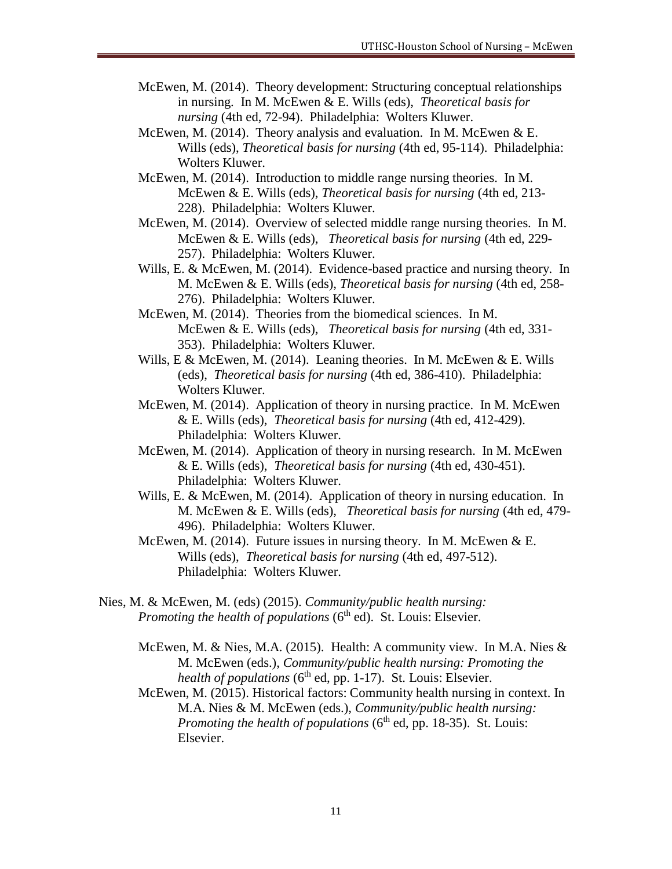- McEwen, M. (2014). Theory development: Structuring conceptual relationships in nursing. In M. McEwen & E. Wills (eds), *Theoretical basis for nursing* (4th ed, 72-94). Philadelphia: Wolters Kluwer.
- McEwen, M. (2014). Theory analysis and evaluation. In M. McEwen & E. Wills (eds), *Theoretical basis for nursing* (4th ed, 95-114). Philadelphia: Wolters Kluwer.
- McEwen, M. (2014). Introduction to middle range nursing theories. In M. McEwen & E. Wills (eds), *Theoretical basis for nursing* (4th ed, 213- 228). Philadelphia: Wolters Kluwer.
- McEwen, M. (2014). Overview of selected middle range nursing theories. In M. McEwen & E. Wills (eds), *Theoretical basis for nursing* (4th ed, 229- 257). Philadelphia: Wolters Kluwer.
- Wills, E. & McEwen, M. (2014). Evidence-based practice and nursing theory. In M. McEwen & E. Wills (eds), *Theoretical basis for nursing* (4th ed, 258- 276). Philadelphia: Wolters Kluwer.
- McEwen, M. (2014). Theories from the biomedical sciences. In M. McEwen & E. Wills (eds), *Theoretical basis for nursing* (4th ed, 331- 353). Philadelphia: Wolters Kluwer.
- Wills, E & McEwen, M. (2014). Leaning theories. In M. McEwen & E. Wills (eds), *Theoretical basis for nursing* (4th ed, 386-410). Philadelphia: Wolters Kluwer.
- McEwen, M. (2014). Application of theory in nursing practice. In M. McEwen & E. Wills (eds), *Theoretical basis for nursing* (4th ed, 412-429). Philadelphia: Wolters Kluwer.
- McEwen, M. (2014). Application of theory in nursing research. In M. McEwen & E. Wills (eds), *Theoretical basis for nursing* (4th ed, 430-451). Philadelphia: Wolters Kluwer.
- Wills, E. & McEwen, M. (2014). Application of theory in nursing education. In M. McEwen & E. Wills (eds), *Theoretical basis for nursing* (4th ed, 479- 496). Philadelphia: Wolters Kluwer.
- McEwen, M. (2014). Future issues in nursing theory. In M. McEwen  $&E$ . Wills (eds), *Theoretical basis for nursing* (4th ed, 497-512). Philadelphia: Wolters Kluwer.
- Nies, M. & McEwen, M. (eds) (2015). *Community/public health nursing: Promoting the health of populations* (6<sup>th</sup> ed). St. Louis: Elsevier.
	- McEwen, M. & Nies, M.A. (2015). Health: A community view. In M.A. Nies & M. McEwen (eds.), *Community/public health nursing: Promoting the*  health of populations (6<sup>th</sup> ed, pp. 1-17). St. Louis: Elsevier.
	- McEwen, M. (2015). Historical factors: Community health nursing in context. In M.A. Nies & M. McEwen (eds.), *Community/public health nursing:*  Promoting the health of populations (6<sup>th</sup> ed, pp. 18-35). St. Louis: Elsevier.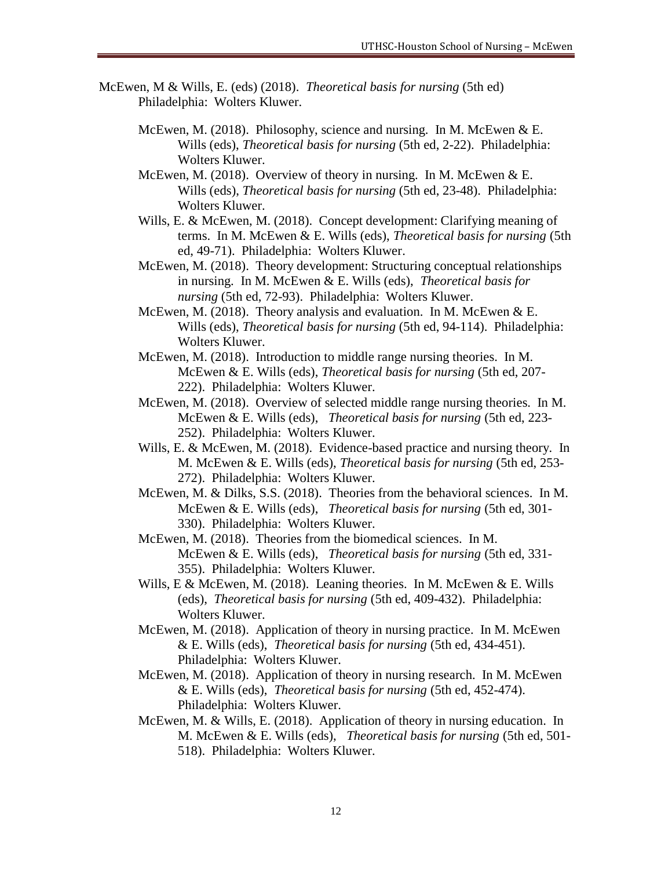- McEwen, M & Wills, E. (eds) (2018). *Theoretical basis for nursing* (5th ed) Philadelphia: Wolters Kluwer.
	- McEwen, M. (2018). Philosophy, science and nursing. In M. McEwen & E. Wills (eds), *Theoretical basis for nursing* (5th ed, 2-22). Philadelphia: Wolters Kluwer.
	- McEwen, M. (2018). Overview of theory in nursing. In M. McEwen & E. Wills (eds), *Theoretical basis for nursing* (5th ed, 23-48). Philadelphia: Wolters Kluwer.
	- Wills, E. & McEwen, M. (2018). Concept development: Clarifying meaning of terms. In M. McEwen & E. Wills (eds), *Theoretical basis for nursing* (5th ed, 49-71). Philadelphia: Wolters Kluwer.
	- McEwen, M. (2018). Theory development: Structuring conceptual relationships in nursing. In M. McEwen & E. Wills (eds), *Theoretical basis for nursing* (5th ed, 72-93). Philadelphia: Wolters Kluwer.
	- McEwen, M. (2018). Theory analysis and evaluation. In M. McEwen  $&E$ . Wills (eds), *Theoretical basis for nursing* (5th ed, 94-114). Philadelphia: Wolters Kluwer.
	- McEwen, M. (2018). Introduction to middle range nursing theories. In M. McEwen & E. Wills (eds), *Theoretical basis for nursing* (5th ed, 207- 222). Philadelphia: Wolters Kluwer.
	- McEwen, M. (2018). Overview of selected middle range nursing theories. In M. McEwen & E. Wills (eds), *Theoretical basis for nursing* (5th ed, 223- 252). Philadelphia: Wolters Kluwer.
	- Wills, E. & McEwen, M. (2018). Evidence-based practice and nursing theory. In M. McEwen & E. Wills (eds), *Theoretical basis for nursing* (5th ed, 253- 272). Philadelphia: Wolters Kluwer.
	- McEwen, M. & Dilks, S.S. (2018). Theories from the behavioral sciences. In M. McEwen & E. Wills (eds), *Theoretical basis for nursing* (5th ed, 301- 330). Philadelphia: Wolters Kluwer.
	- McEwen, M. (2018). Theories from the biomedical sciences. In M. McEwen & E. Wills (eds), *Theoretical basis for nursing* (5th ed, 331- 355). Philadelphia: Wolters Kluwer.
	- Wills, E & McEwen, M. (2018). Leaning theories. In M. McEwen & E. Wills (eds), *Theoretical basis for nursing* (5th ed, 409-432). Philadelphia: Wolters Kluwer.
	- McEwen, M. (2018). Application of theory in nursing practice. In M. McEwen & E. Wills (eds), *Theoretical basis for nursing* (5th ed, 434-451). Philadelphia: Wolters Kluwer.
	- McEwen, M. (2018). Application of theory in nursing research. In M. McEwen & E. Wills (eds), *Theoretical basis for nursing* (5th ed, 452-474). Philadelphia: Wolters Kluwer.
	- McEwen, M. & Wills, E. (2018). Application of theory in nursing education. In M. McEwen & E. Wills (eds), *Theoretical basis for nursing* (5th ed, 501- 518). Philadelphia: Wolters Kluwer.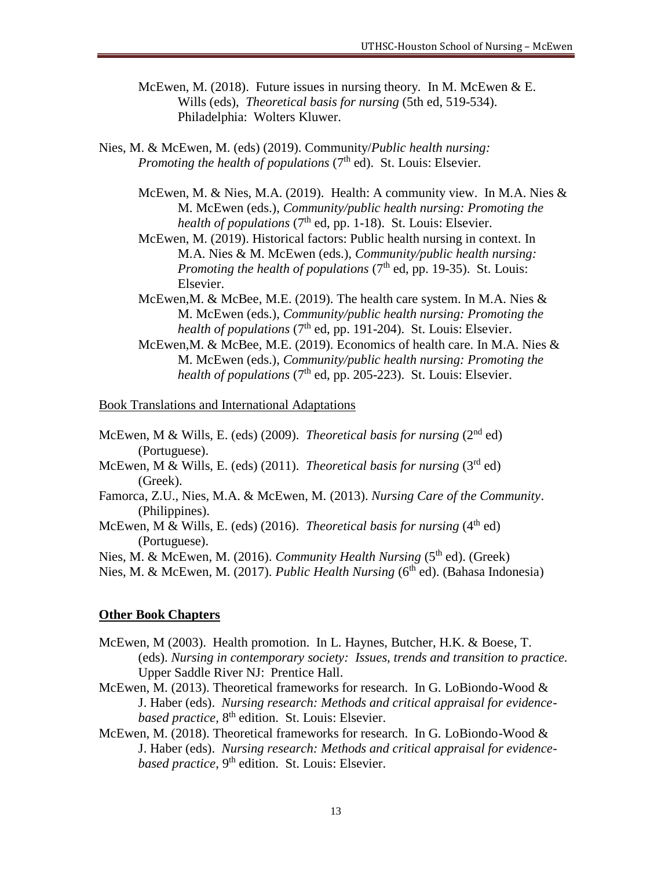- McEwen, M. (2018). Future issues in nursing theory. In M. McEwen & E. Wills (eds), *Theoretical basis for nursing* (5th ed, 519-534). Philadelphia: Wolters Kluwer.
- Nies, M. & McEwen, M. (eds) (2019). Community/*Public health nursing: Promoting the health of populations* (7<sup>th</sup> ed). St. Louis: Elsevier.
	- McEwen, M. & Nies, M.A. (2019). Health: A community view. In M.A. Nies & M. McEwen (eds.), *Community/public health nursing: Promoting the*  health of populations (7<sup>th</sup> ed, pp. 1-18). St. Louis: Elsevier.
	- McEwen, M. (2019). Historical factors: Public health nursing in context. In M.A. Nies & M. McEwen (eds.), *Community/public health nursing: Promoting the health of populations* (7<sup>th</sup> ed, pp. 19-35). St. Louis: Elsevier.
	- McEwen,M. & McBee, M.E. (2019). The health care system. In M.A. Nies & M. McEwen (eds.), *Community/public health nursing: Promoting the*  health of populations (7<sup>th</sup> ed, pp. 191-204). St. Louis: Elsevier.
	- McEwen,M. & McBee, M.E. (2019). Economics of health care. In M.A. Nies & M. McEwen (eds.), *Community/public health nursing: Promoting the*  health of populations (7<sup>th</sup> ed, pp. 205-223). St. Louis: Elsevier.

Book Translations and International Adaptations

- McEwen, M & Wills, E. (eds) (2009). *Theoretical basis for nursing* (2<sup>nd</sup> ed) (Portuguese).
- McEwen, M & Wills, E. (eds) (2011). *Theoretical basis for nursing* (3rd ed) (Greek).
- Famorca, Z.U., Nies, M.A. & McEwen, M. (2013). *Nursing Care of the Community*. (Philippines).
- McEwen, M & Wills, E. (eds) (2016). *Theoretical basis for nursing* (4<sup>th</sup> ed) (Portuguese).

Nies, M. & McEwen, M. (2016). *Community Health Nursing* (5<sup>th</sup> ed). (Greek)

Nies, M. & McEwen, M. (2017). *Public Health Nursing* (6<sup>th</sup> ed). (Bahasa Indonesia)

#### **Other Book Chapters**

- McEwen, M (2003). Health promotion. In L. Haynes, Butcher, H.K. & Boese, T. (eds). *Nursing in contemporary society: Issues, trends and transition to practice.* Upper Saddle River NJ: Prentice Hall.
- McEwen, M. (2013). Theoretical frameworks for research. In G. LoBiondo-Wood & J. Haber (eds). *Nursing research: Methods and critical appraisal for evidence*based practice, 8<sup>th</sup> edition. St. Louis: Elsevier.
- McEwen, M. (2018). Theoretical frameworks for research. In G. LoBiondo-Wood & J. Haber (eds). *Nursing research: Methods and critical appraisal for evidence*based practice, 9<sup>th</sup> edition. St. Louis: Elsevier.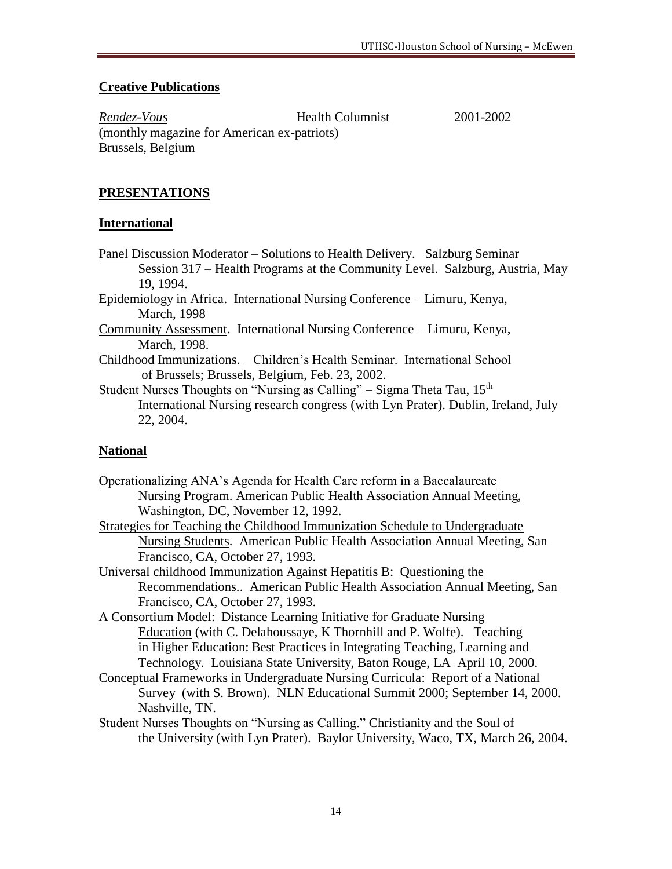### **Creative Publications**

*Rendez-Vous* Health Columnist 2001-2002 (monthly magazine for American ex-patriots) Brussels, Belgium

# **PRESENTATIONS**

### **International**

- Panel Discussion Moderator Solutions to Health Delivery. Salzburg Seminar Session 317 – Health Programs at the Community Level. Salzburg, Austria, May 19, 1994.
- Epidemiology in Africa. International Nursing Conference Limuru, Kenya, March, 1998
- Community Assessment. International Nursing Conference Limuru, Kenya, March, 1998.
- Childhood Immunizations. Children's Health Seminar. International School of Brussels; Brussels, Belgium, Feb. 23, 2002.
- Student Nurses Thoughts on "Nursing as Calling" Sigma Theta Tau,  $15<sup>th</sup>$ International Nursing research congress (with Lyn Prater). Dublin, Ireland, July 22, 2004.

# **National**

- Operationalizing ANA's Agenda for Health Care reform in a Baccalaureate Nursing Program. American Public Health Association Annual Meeting, Washington, DC, November 12, 1992.
- Strategies for Teaching the Childhood Immunization Schedule to Undergraduate Nursing Students. American Public Health Association Annual Meeting, San Francisco, CA, October 27, 1993.
- Universal childhood Immunization Against Hepatitis B: Questioning the Recommendations.. American Public Health Association Annual Meeting, San Francisco, CA, October 27, 1993.
- A Consortium Model: Distance Learning Initiative for Graduate Nursing Education (with C. Delahoussaye, K Thornhill and P. Wolfe). Teaching in Higher Education: Best Practices in Integrating Teaching, Learning and Technology. Louisiana State University, Baton Rouge, LA April 10, 2000.
- Conceptual Frameworks in Undergraduate Nursing Curricula: Report of a National Survey (with S. Brown). NLN Educational Summit 2000; September 14, 2000. Nashville, TN.
- Student Nurses Thoughts on "Nursing as Calling." Christianity and the Soul of the University (with Lyn Prater). Baylor University, Waco, TX, March 26, 2004.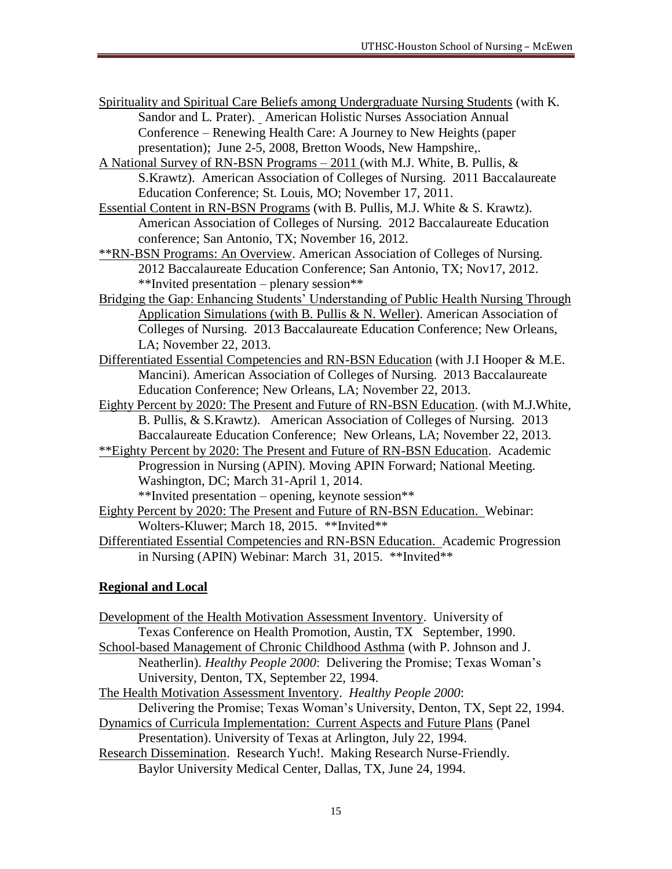- Spirituality and Spiritual Care Beliefs among Undergraduate Nursing Students (with K. Sandor and L. Prater). American Holistic Nurses Association Annual Conference – Renewing Health Care: A Journey to New Heights (paper presentation); June 2-5, 2008, Bretton Woods, New Hampshire,.
- A National Survey of RN-BSN Programs 2011 (with M.J. White, B. Pullis, & S.Krawtz). American Association of Colleges of Nursing. 2011 Baccalaureate Education Conference; St. Louis, MO; November 17, 2011.
- Essential Content in RN-BSN Programs (with B. Pullis, M.J. White & S. Krawtz). American Association of Colleges of Nursing. 2012 Baccalaureate Education conference; San Antonio, TX; November 16, 2012.
- \*\*RN-BSN Programs: An Overview. American Association of Colleges of Nursing. 2012 Baccalaureate Education Conference; San Antonio, TX; Nov17, 2012. \*\*Invited presentation – plenary session\*\*
- Bridging the Gap: Enhancing Students' Understanding of Public Health Nursing Through Application Simulations (with B. Pullis & N. Weller). American Association of Colleges of Nursing. 2013 Baccalaureate Education Conference; New Orleans, LA; November 22, 2013.
- Differentiated Essential Competencies and RN-BSN Education (with J.I Hooper & M.E. Mancini). American Association of Colleges of Nursing. 2013 Baccalaureate Education Conference; New Orleans, LA; November 22, 2013.
- Eighty Percent by 2020: The Present and Future of RN-BSN Education. (with M.J.White, B. Pullis, & S.Krawtz). American Association of Colleges of Nursing. 2013 Baccalaureate Education Conference; New Orleans, LA; November 22, 2013.
- \*\*Eighty Percent by 2020: The Present and Future of RN-BSN Education. Academic Progression in Nursing (APIN). Moving APIN Forward; National Meeting. Washington, DC; March 31-April 1, 2014.

\*\*Invited presentation – opening, keynote session\*\*

- Eighty Percent by 2020: The Present and Future of RN-BSN Education. Webinar: Wolters-Kluwer; March 18, 2015. \*\*Invited\*\*
- Differentiated Essential Competencies and RN-BSN Education. Academic Progression in Nursing (APIN) Webinar: March 31, 2015. \*\*Invited\*\*

# **Regional and Local**

Development of the Health Motivation Assessment Inventory. University of Texas Conference on Health Promotion, Austin, TX September, 1990. School-based Management of Chronic Childhood Asthma (with P. Johnson and J. Neatherlin). *Healthy People 2000*: Delivering the Promise; Texas Woman's University, Denton, TX, September 22, 1994. The Health Motivation Assessment Inventory. *Healthy People 2000*: Delivering the Promise; Texas Woman's University, Denton, TX, Sept 22, 1994. Dynamics of Curricula Implementation: Current Aspects and Future Plans (Panel

Presentation). University of Texas at Arlington, July 22, 1994.

Research Dissemination. Research Yuch!. Making Research Nurse-Friendly. Baylor University Medical Center, Dallas, TX, June 24, 1994.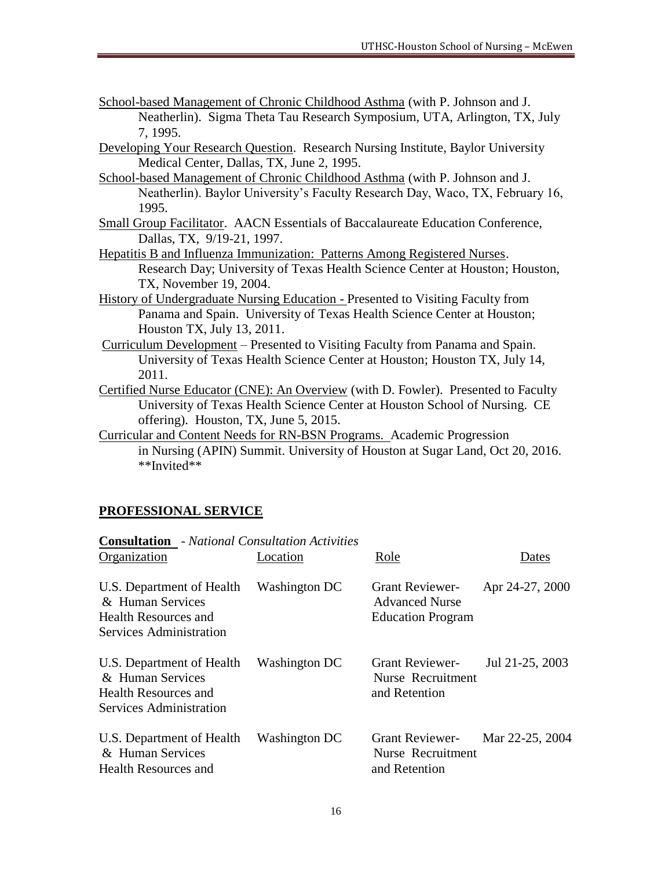- School-based Management of Chronic Childhood Asthma (with P. Johnson and J. Neatherlin). Sigma Theta Tau Research Symposium, UTA, Arlington, TX, July 7, 1995.
- Developing Your Research Question. Research Nursing Institute, Baylor University Medical Center, Dallas, TX, June 2, 1995.
- School-based Management of Chronic Childhood Asthma (with P. Johnson and J. Neatherlin). Baylor University's Faculty Research Day, Waco, TX, February 16, 1995.
- Small Group Facilitator. AACN Essentials of Baccalaureate Education Conference, Dallas, TX, 9/19-21, 1997.
- Hepatitis B and Influenza Immunization: Patterns Among Registered Nurses. Research Day; University of Texas Health Science Center at Houston; Houston, TX, November 19, 2004.
- History of Undergraduate Nursing Education Presented to Visiting Faculty from Panama and Spain. University of Texas Health Science Center at Houston; Houston TX, July 13, 2011.
- Curriculum Development Presented to Visiting Faculty from Panama and Spain. University of Texas Health Science Center at Houston; Houston TX, July 14, 2011.
- Certified Nurse Educator (CNE): An Overview (with D. Fowler). Presented to Faculty University of Texas Health Science Center at Houston School of Nursing. CE offering). Houston, TX, June 5, 2015.
- Curricular and Content Needs for RN-BSN Programs. Academic Progression in Nursing (APIN) Summit. University of Houston at Sugar Land, Oct 20, 2016. \*\*Invited\*\*

# **PROFESSIONAL SERVICE**

| <b>Consultation</b> - National Consultation Activities                                                  |               |                                                                             |                 |  |
|---------------------------------------------------------------------------------------------------------|---------------|-----------------------------------------------------------------------------|-----------------|--|
| Organization                                                                                            | Location      | Role                                                                        | Dates           |  |
| U.S. Department of Health<br>& Human Services<br>Health Resources and<br>Services Administration        | Washington DC | <b>Grant Reviewer-</b><br><b>Advanced Nurse</b><br><b>Education Program</b> | Apr 24-27, 2000 |  |
| U.S. Department of Health<br>& Human Services<br><b>Health Resources and</b><br>Services Administration | Washington DC | <b>Grant Reviewer-</b><br>Nurse Recruitment<br>and Retention                | Jul 21-25, 2003 |  |
| U.S. Department of Health<br>& Human Services<br><b>Health Resources and</b>                            | Washington DC | <b>Grant Reviewer-</b><br>Nurse Recruitment<br>and Retention                | Mar 22-25, 2004 |  |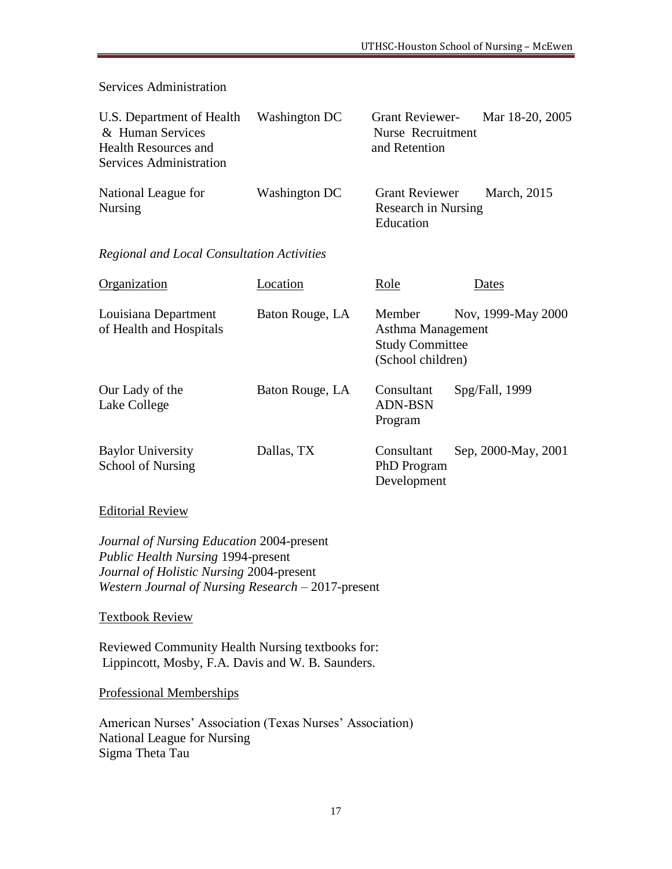Services Administration

| U.S. Department of Health<br>& Human Services<br><b>Health Resources and</b><br>Services Administration | Washington DC | Grant Reviewer- Mar 18-20, 2005<br>Nurse Recruitment<br>and Retention |  |
|---------------------------------------------------------------------------------------------------------|---------------|-----------------------------------------------------------------------|--|
| National League for<br><b>Nursing</b>                                                                   | Washington DC | Grant Reviewer March, 2015<br><b>Research in Nursing</b>              |  |

Education

#### *Regional and Local Consultation Activities*

| Organization                                    | Location        | Role                                                                       | Dates               |
|-------------------------------------------------|-----------------|----------------------------------------------------------------------------|---------------------|
| Louisiana Department<br>of Health and Hospitals | Baton Rouge, LA | Member<br>Asthma Management<br><b>Study Committee</b><br>(School children) | Nov, 1999-May 2000  |
| Our Lady of the<br>Lake College                 | Baton Rouge, LA | Consultant<br><b>ADN-BSN</b><br>Program                                    | Spg/Fall, 1999      |
| <b>Baylor University</b><br>School of Nursing   | Dallas, TX      | Consultant<br><b>PhD</b> Program<br>Development                            | Sep. 2000-May, 2001 |

#### Editorial Review

*Journal of Nursing Education* 2004-present *Public Health Nursing* 1994-present *Journal of Holistic Nursing* 2004-present *Western Journal of Nursing Research* – 2017-present

Textbook Review

Reviewed Community Health Nursing textbooks for: Lippincott, Mosby, F.A. Davis and W. B. Saunders.

Professional Memberships

American Nurses' Association (Texas Nurses' Association) National League for Nursing Sigma Theta Tau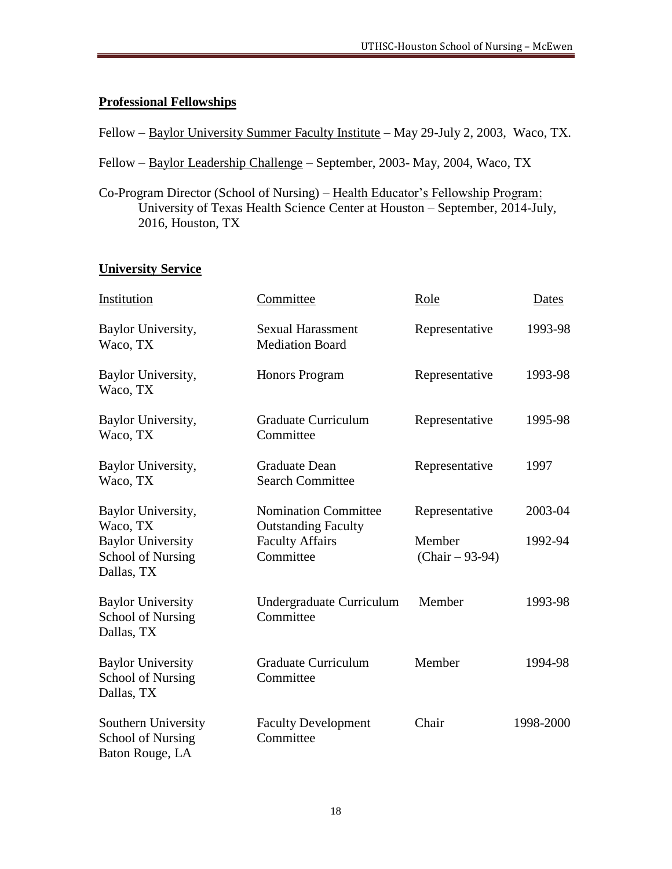#### **Professional Fellowships**

Fellow – Baylor University Summer Faculty Institute – May 29-July 2, 2003, Waco, TX.

Fellow – Baylor Leadership Challenge – September, 2003- May, 2004, Waco, TX

Co-Program Director (School of Nursing) – Health Educator's Fellowship Program: University of Texas Health Science Center at Houston – September, 2014-July, 2016, Houston, TX

# **University Service**

| Institution                                                        | Committee                                                 | Role                        | Dates     |
|--------------------------------------------------------------------|-----------------------------------------------------------|-----------------------------|-----------|
| Baylor University,<br>Waco, TX                                     | <b>Sexual Harassment</b><br><b>Mediation Board</b>        | Representative              | 1993-98   |
| Baylor University,<br>Waco, TX                                     | Honors Program                                            | Representative              | 1993-98   |
| Baylor University,<br>Waco, TX                                     | <b>Graduate Curriculum</b><br>Committee                   | Representative              | 1995-98   |
| Baylor University,<br>Waco, TX                                     | <b>Graduate Dean</b><br><b>Search Committee</b>           | Representative              | 1997      |
| Baylor University,<br>Waco, TX                                     | <b>Nomination Committee</b><br><b>Outstanding Faculty</b> | Representative              | 2003-04   |
| <b>Baylor University</b><br>School of Nursing<br>Dallas, TX        | <b>Faculty Affairs</b><br>Committee                       | Member<br>$(Chair - 93-94)$ | 1992-94   |
| <b>Baylor University</b><br>School of Nursing<br>Dallas, TX        | Undergraduate Curriculum<br>Committee                     | Member                      | 1993-98   |
| <b>Baylor University</b><br><b>School of Nursing</b><br>Dallas, TX | <b>Graduate Curriculum</b><br>Committee                   | Member                      | 1994-98   |
| Southern University<br>School of Nursing<br>Baton Rouge, LA        | <b>Faculty Development</b><br>Committee                   | Chair                       | 1998-2000 |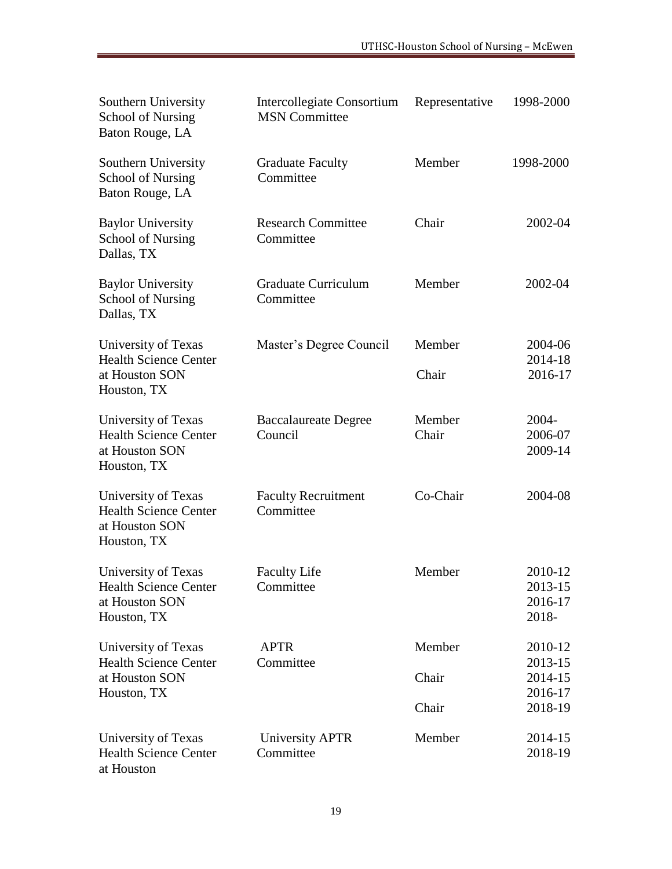| Southern University<br><b>School of Nursing</b><br>Baton Rouge, LA                   | Intercollegiate Consortium<br><b>MSN</b> Committee | Representative  | 1998-2000                              |
|--------------------------------------------------------------------------------------|----------------------------------------------------|-----------------|----------------------------------------|
| Southern University<br><b>School of Nursing</b><br>Baton Rouge, LA                   | <b>Graduate Faculty</b><br>Committee               | Member          | 1998-2000                              |
| <b>Baylor University</b><br>School of Nursing<br>Dallas, TX                          | <b>Research Committee</b><br>Committee             | Chair           | 2002-04                                |
| <b>Baylor University</b><br><b>School of Nursing</b><br>Dallas, TX                   | <b>Graduate Curriculum</b><br>Committee            | Member          | 2002-04                                |
| University of Texas<br><b>Health Science Center</b>                                  | Master's Degree Council                            | Member          | 2004-06<br>2014-18                     |
| at Houston SON<br>Houston, TX                                                        |                                                    | Chair           | 2016-17                                |
| University of Texas<br><b>Health Science Center</b><br>at Houston SON<br>Houston, TX | <b>Baccalaureate Degree</b><br>Council             | Member<br>Chair | 2004-<br>2006-07<br>2009-14            |
| University of Texas<br><b>Health Science Center</b><br>at Houston SON<br>Houston, TX | <b>Faculty Recruitment</b><br>Committee            | Co-Chair        | 2004-08                                |
| University of Texas<br><b>Health Science Center</b><br>at Houston SON<br>Houston, TX | <b>Faculty Life</b><br>Committee                   | Member          | 2010-12<br>2013-15<br>2016-17<br>2018- |
| University of Texas<br><b>Health Science Center</b>                                  | <b>APTR</b><br>Committee                           | Member          | 2010-12<br>2013-15                     |
| at Houston SON<br>Houston, TX                                                        |                                                    | Chair           | 2014-15<br>2016-17                     |
|                                                                                      |                                                    | Chair           | 2018-19                                |
| University of Texas<br><b>Health Science Center</b><br>at Houston                    | University APTR<br>Committee                       | Member          | 2014-15<br>2018-19                     |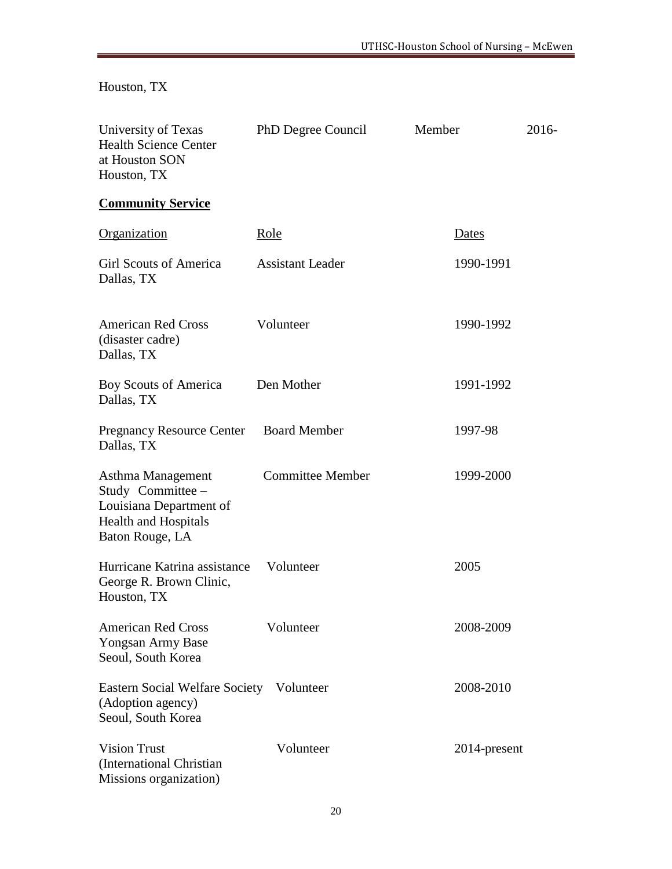Houston, TX

| University of Texas<br><b>Health Science Center</b><br>at Houston SON<br>Houston, TX                                | PhD Degree Council      | Member       | 2016- |
|---------------------------------------------------------------------------------------------------------------------|-------------------------|--------------|-------|
| <b>Community Service</b>                                                                                            |                         |              |       |
| Organization                                                                                                        | <u>Role</u>             | <u>Dates</u> |       |
| <b>Girl Scouts of America</b><br>Dallas, TX                                                                         | <b>Assistant Leader</b> | 1990-1991    |       |
| <b>American Red Cross</b><br>(disaster cadre)<br>Dallas, TX                                                         | Volunteer               | 1990-1992    |       |
| Boy Scouts of America<br>Dallas, TX                                                                                 | Den Mother              | 1991-1992    |       |
| <b>Pregnancy Resource Center</b><br>Dallas, TX                                                                      | <b>Board Member</b>     | 1997-98      |       |
| Asthma Management<br>Study Committee -<br>Louisiana Department of<br><b>Health and Hospitals</b><br>Baton Rouge, LA | <b>Committee Member</b> | 1999-2000    |       |
| Hurricane Katrina assistance<br>George R. Brown Clinic,<br>Houston, TX                                              | Volunteer               | 2005         |       |
| <b>American Red Cross</b><br>Yongsan Army Base<br>Seoul, South Korea                                                | Volunteer               | 2008-2009    |       |
| Eastern Social Welfare Society Volunteer<br>(Adoption agency)<br>Seoul, South Korea                                 |                         | 2008-2010    |       |
| <b>Vision Trust</b><br>(International Christian<br>Missions organization)                                           | Volunteer               | 2014-present |       |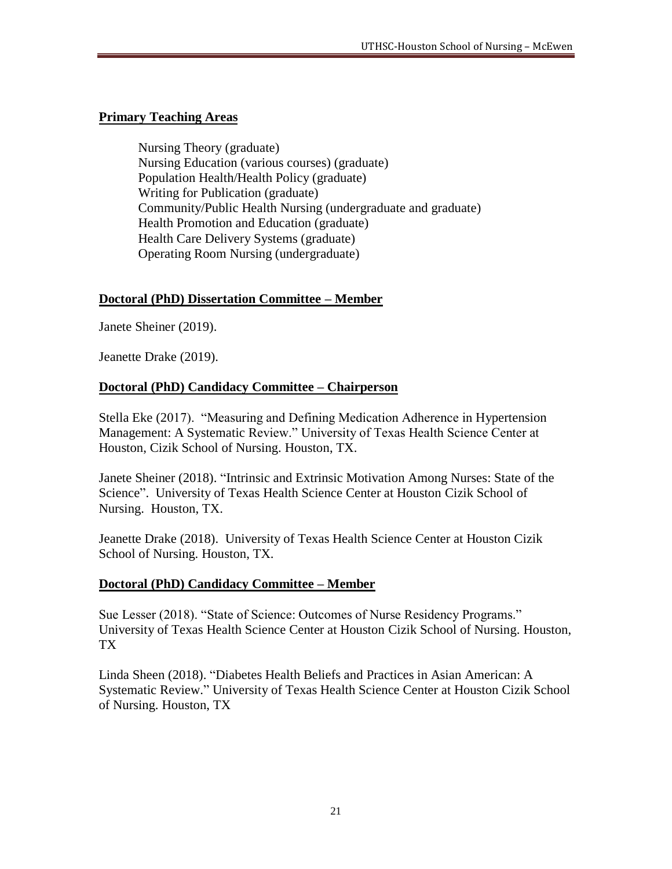#### **Primary Teaching Areas**

Nursing Theory (graduate) Nursing Education (various courses) (graduate) Population Health/Health Policy (graduate) Writing for Publication (graduate) Community/Public Health Nursing (undergraduate and graduate) Health Promotion and Education (graduate) Health Care Delivery Systems (graduate) Operating Room Nursing (undergraduate)

### **Doctoral (PhD) Dissertation Committee – Member**

Janete Sheiner (2019).

Jeanette Drake (2019).

### **Doctoral (PhD) Candidacy Committee – Chairperson**

Stella Eke (2017). "Measuring and Defining Medication Adherence in Hypertension Management: A Systematic Review." University of Texas Health Science Center at Houston, Cizik School of Nursing. Houston, TX.

Janete Sheiner (2018). "Intrinsic and Extrinsic Motivation Among Nurses: State of the Science". University of Texas Health Science Center at Houston Cizik School of Nursing. Houston, TX.

Jeanette Drake (2018). University of Texas Health Science Center at Houston Cizik School of Nursing. Houston, TX.

#### **Doctoral (PhD) Candidacy Committee – Member**

Sue Lesser (2018). "State of Science: Outcomes of Nurse Residency Programs." University of Texas Health Science Center at Houston Cizik School of Nursing. Houston, TX

Linda Sheen (2018). "Diabetes Health Beliefs and Practices in Asian American: A Systematic Review." University of Texas Health Science Center at Houston Cizik School of Nursing. Houston, TX